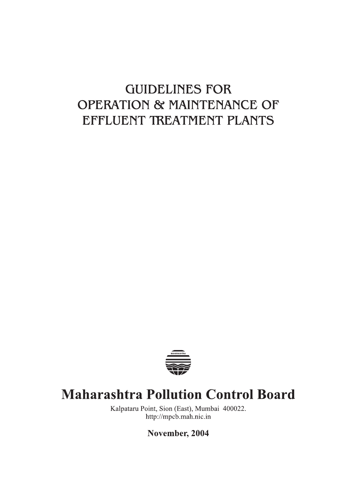# **GUIDELINES FOR OPERATION & MAINTENANCE OF** EFFLUENT TREATMENT PLANTS



# **Maharashtra Pollution Control Board**

Kalpataru Point, Sion (East), Mumbai 400022. http://mpcb.mah.nic.in

November, 2004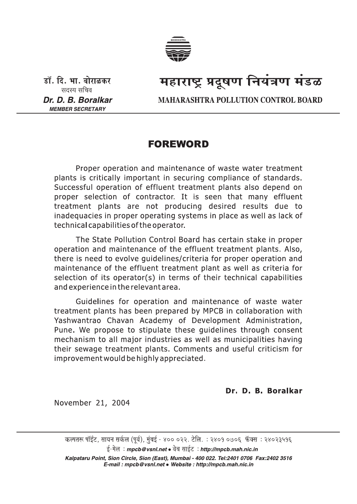

डॉ. दि. भा. बोराळकर सदस्य सचिव Dr. D. B. Boralkar **MEMBER SECRETARY** 

# महाराष्ट्र प्रदूषण नियंत्रण मंडळ

**MAHARASHTRA POLLUTION CONTROL BOARD** 

# **FOREWORD**

Proper operation and maintenance of waste water treatment plants is critically important in securing compliance of standards. Successful operation of effluent treatment plants also depend on proper selection of contractor. It is seen that many effluent treatment plants are not producing desired results due to inadequacies in proper operating systems in place as well as lack of technical capabilities of the operator.

The State Pollution Control Board has certain stake in proper operation and maintenance of the effluent treatment plants. Also, there is need to evolve quidelines/criteria for proper operation and maintenance of the effluent treatment plant as well as criteria for selection of its operator(s) in terms of their technical capabilities and experience in the relevant area.

Guidelines for operation and maintenance of waste water treatment plants has been prepared by MPCB in collaboration with Yashwantrao Chavan Academy of Development Administration, Pune. We propose to stipulate these guidelines through consent mechanism to all major industries as well as municipalities having their sewage treatment plants. Comments and useful criticism for improvement would be highly appreciated.

Dr. D. B. Boralkar

November 21, 2004

कल्पतरू पॉईंट, सायन सर्कल (पूर्व), मुंबई - ४०० ०२२. टेलि. : २४०१ ०७०६ फॅक्स : २४०२३५१६

ई-मेल: mpcb@vsnl.net • वेब साईट: http://mpcb.mah.nic.in

Kalpataru Point, Sion Circle, Sion (East), Mumbai - 400 022. Tel:2401 0706 Fax:2402 3516 E-mail: mpcb@vsnl.net • Website: http://mpcb.mah.nic.in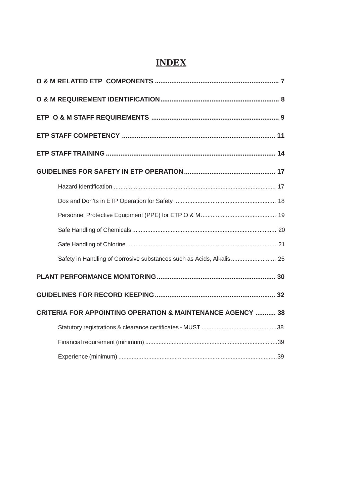# **INDEX**

| Safety in Handling of Corrosive substances such as Acids, Alkalis 25  |
|-----------------------------------------------------------------------|
|                                                                       |
|                                                                       |
| <b>CRITERIA FOR APPOINTING OPERATION &amp; MAINTENANCE AGENCY  38</b> |
|                                                                       |
|                                                                       |
|                                                                       |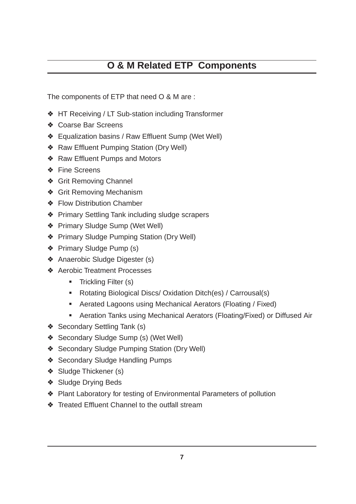# **O & M Related ETP Components**

The components of ETP that need O & M are :

- ❖ HT Receiving / LT Sub-station including Transformer
- ❖ Coarse Bar Screens
- ❖ Equalization basins / Raw Effluent Sump (Wet Well)
- ❖ Raw Effluent Pumping Station (Dry Well)
- ❖ Raw Effluent Pumps and Motors
- ❖ Fine Screens
- ❖ Grit Removing Channel
- ❖ Grit Removing Mechanism
- ❖ Flow Distribution Chamber
- ❖ Primary Settling Tank including sludge scrapers
- ❖ Primary Sludge Sump (Wet Well)
- ❖ Primary Sludge Pumping Station (Dry Well)
- ❖ Primary Sludge Pump (s)
- ❖ Anaerobic Sludge Digester (s)
- ❖ Aerobic Treatment Processes
	- Trickling Filter (s)
	- Rotating Biological Discs/ Oxidation Ditch(es) / Carrousal(s)
	- Aerated Lagoons using Mechanical Aerators (Floating / Fixed)
	- Aeration Tanks using Mechanical Aerators (Floating/Fixed) or Diffused Air
- ❖ Secondary Settling Tank (s)
- ❖ Secondary Sludge Sump (s) (Wet Well)
- ❖ Secondary Sludge Pumping Station (Dry Well)
- ❖ Secondary Sludge Handling Pumps
- ❖ Sludge Thickener (s)
- ❖ Sludge Drying Beds
- ❖ Plant Laboratory for testing of Environmental Parameters of pollution
- ❖ Treated Effluent Channel to the outfall stream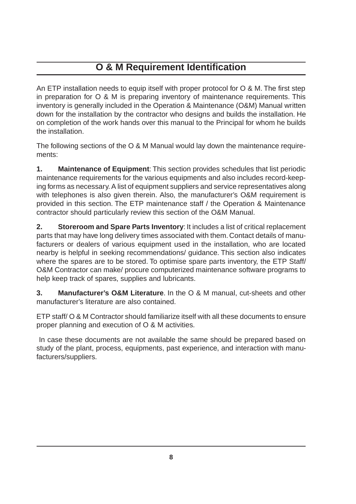# **O & M Requirement Identification**

An ETP installation needs to equip itself with proper protocol for O & M. The first step in preparation for O & M is preparing inventory of maintenance requirements. This inventory is generally included in the Operation & Maintenance (O&M) Manual written down for the installation by the contractor who designs and builds the installation. He on completion of the work hands over this manual to the Principal for whom he builds the installation.

The following sections of the O & M Manual would lay down the maintenance requirements:

**1. Maintenance of Equipment**: This section provides schedules that list periodic maintenance requirements for the various equipments and also includes record-keeping forms as necessary. A list of equipment suppliers and service representatives along with telephones is also given therein. Also, the manufacturer's O&M requirement is provided in this section. The ETP maintenance staff / the Operation & Maintenance contractor should particularly review this section of the O&M Manual.

**2. Storeroom and Spare Parts Inventory**: It includes a list of critical replacement parts that may have long delivery times associated with them. Contact details of manufacturers or dealers of various equipment used in the installation, who are located nearby is helpful in seeking recommendations/ guidance. This section also indicates where the spares are to be stored. To optimise spare parts inventory, the ETP Staff/ O&M Contractor can make/ procure computerized maintenance software programs to help keep track of spares, supplies and lubricants.

**3. Manufacturer's O&M Literature**. In the O & M manual, cut-sheets and other manufacturer's literature are also contained.

ETP staff/ O & M Contractor should familiarize itself with all these documents to ensure proper planning and execution of O & M activities.

 In case these documents are not available the same should be prepared based on study of the plant, process, equipments, past experience, and interaction with manufacturers/suppliers.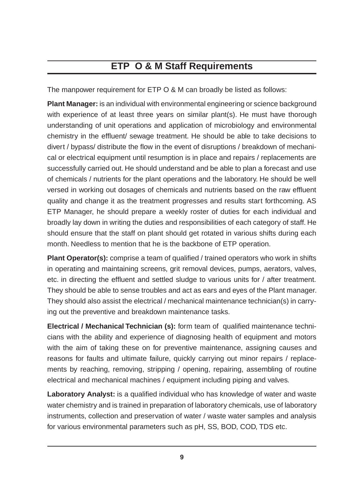# **ETP O & M Staff Requirements**

The manpower requirement for ETP O & M can broadly be listed as follows:

**Plant Manager:** is an individual with environmental engineering or science background with experience of at least three years on similar plant(s). He must have thorough understanding of unit operations and application of microbiology and environmental chemistry in the effluent/ sewage treatment. He should be able to take decisions to divert / bypass/ distribute the flow in the event of disruptions / breakdown of mechanical or electrical equipment until resumption is in place and repairs / replacements are successfully carried out. He should understand and be able to plan a forecast and use of chemicals / nutrients for the plant operations and the laboratory. He should be well versed in working out dosages of chemicals and nutrients based on the raw effluent quality and change it as the treatment progresses and results start forthcoming. AS ETP Manager, he should prepare a weekly roster of duties for each individual and broadly lay down in writing the duties and responsibilities of each category of staff. He should ensure that the staff on plant should get rotated in various shifts during each month. Needless to mention that he is the backbone of ETP operation.

**Plant Operator(s):** comprise a team of qualified / trained operators who work in shifts in operating and maintaining screens, grit removal devices, pumps, aerators, valves, etc. in directing the effluent and settled sludge to various units for / after treatment. They should be able to sense troubles and act as ears and eyes of the Plant manager. They should also assist the electrical / mechanical maintenance technician(s) in carrying out the preventive and breakdown maintenance tasks.

**Electrical / Mechanical Technician (s):** form team of qualified maintenance technicians with the ability and experience of diagnosing health of equipment and motors with the aim of taking these on for preventive maintenance, assigning causes and reasons for faults and ultimate failure, quickly carrying out minor repairs / replacements by reaching, removing, stripping / opening, repairing, assembling of routine electrical and mechanical machines / equipment including piping and valves.

**Laboratory Analyst:** is a qualified individual who has knowledge of water and waste water chemistry and is trained in preparation of laboratory chemicals, use of laboratory instruments, collection and preservation of water / waste water samples and analysis for various environmental parameters such as pH, SS, BOD, COD, TDS etc.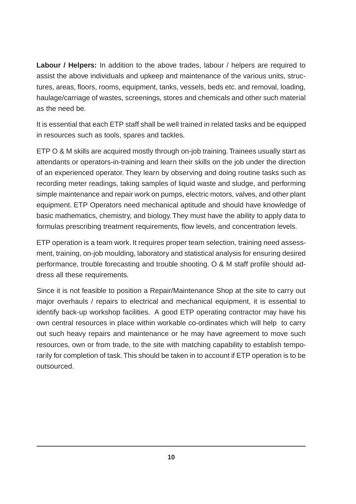**Labour / Helpers:** In addition to the above trades, labour / helpers are required to assist the above individuals and upkeep and maintenance of the various units, structures, areas, floors, rooms, equipment, tanks, vessels, beds etc. and removal, loading, haulage/carriage of wastes, screenings, stores and chemicals and other such material as the need be.

It is essential that each ETP staff shall be well trained in related tasks and be equipped in resources such as tools, spares and tackles.

ETP O & M skills are acquired mostly through on-job training. Trainees usually start as attendants or operators-in-training and learn their skills on the job under the direction of an experienced operator. They learn by observing and doing routine tasks such as recording meter readings, taking samples of liquid waste and sludge, and performing simple maintenance and repair work on pumps, electric motors, valves, and other plant equipment. ETP Operators need mechanical aptitude and should have knowledge of basic mathematics, chemistry, and biology. They must have the ability to apply data to formulas prescribing treatment requirements, flow levels, and concentration levels.

ETP operation is a team work. It requires proper team selection, training need assessment, training, on-job moulding, laboratory and statistical analysis for ensuring desired performance, trouble forecasting and trouble shooting. O & M staff profile should address all these requirements.

Since it is not feasible to position a Repair/Maintenance Shop at the site to carry out major overhauls / repairs to electrical and mechanical equipment, it is essential to identify back-up workshop facilities. A good ETP operating contractor may have his own central resources in place within workable co-ordinates which will help to carry out such heavy repairs and maintenance or he may have agreement to move such resources, own or from trade, to the site with matching capability to establish temporarily for completion of task. This should be taken in to account if ETP operation is to be outsourced.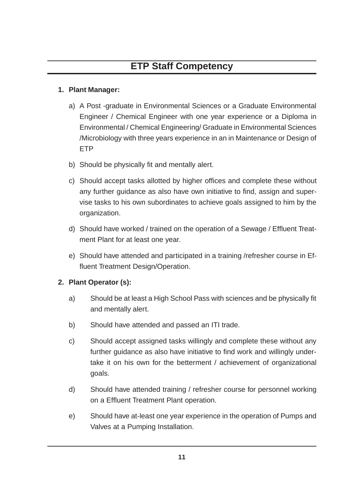# **ETP Staff Competency**

#### **1. Plant Manager:**

- a) A Post -graduate in Environmental Sciences or a Graduate Environmental Engineer / Chemical Engineer with one year experience or a Diploma in Environmental / Chemical Engineering/ Graduate in Environmental Sciences /Microbiology with three years experience in an in Maintenance or Design of ETP
- b) Should be physically fit and mentally alert.
- c) Should accept tasks allotted by higher offices and complete these without any further guidance as also have own initiative to find, assign and supervise tasks to his own subordinates to achieve goals assigned to him by the organization.
- d) Should have worked / trained on the operation of a Sewage / Effluent Treatment Plant for at least one year.
- e) Should have attended and participated in a training /refresher course in Effluent Treatment Design/Operation.

# **2. Plant Operator (s):**

- a) Should be at least a High School Pass with sciences and be physically fit and mentally alert.
- b) Should have attended and passed an ITI trade.
- c) Should accept assigned tasks willingly and complete these without any further guidance as also have initiative to find work and willingly undertake it on his own for the betterment / achievement of organizational goals.
- d) Should have attended training / refresher course for personnel working on a Effluent Treatment Plant operation.
- e) Should have at-least one year experience in the operation of Pumps and Valves at a Pumping Installation.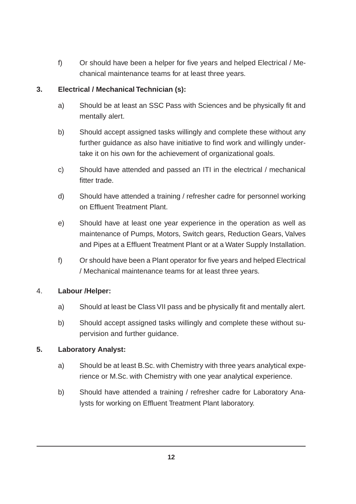f) Or should have been a helper for five years and helped Electrical / Mechanical maintenance teams for at least three years.

#### **3. Electrical / Mechanical Technician (s):**

- a) Should be at least an SSC Pass with Sciences and be physically fit and mentally alert.
- b) Should accept assigned tasks willingly and complete these without any further guidance as also have initiative to find work and willingly undertake it on his own for the achievement of organizational goals.
- c) Should have attended and passed an ITI in the electrical / mechanical fitter trade.
- d) Should have attended a training / refresher cadre for personnel working on Effluent Treatment Plant.
- e) Should have at least one year experience in the operation as well as maintenance of Pumps, Motors, Switch gears, Reduction Gears, Valves and Pipes at a Effluent Treatment Plant or at a Water Supply Installation.
- f) Or should have been a Plant operator for five years and helped Electrical / Mechanical maintenance teams for at least three years.

# 4. **Labour /Helper:**

- a) Should at least be Class VII pass and be physically fit and mentally alert.
- b) Should accept assigned tasks willingly and complete these without supervision and further guidance.

#### **5. Laboratory Analyst:**

- a) Should be at least B.Sc. with Chemistry with three years analytical experience or M.Sc. with Chemistry with one year analytical experience.
- b) Should have attended a training / refresher cadre for Laboratory Analysts for working on Effluent Treatment Plant laboratory.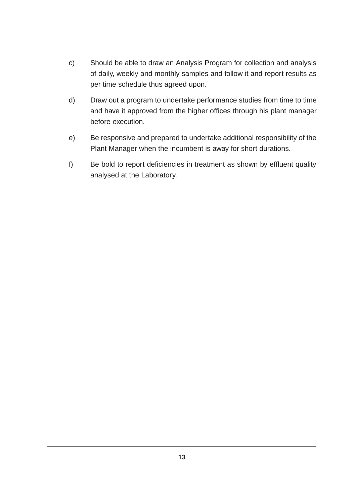- c) Should be able to draw an Analysis Program for collection and analysis of daily, weekly and monthly samples and follow it and report results as per time schedule thus agreed upon.
- d) Draw out a program to undertake performance studies from time to time and have it approved from the higher offices through his plant manager before execution.
- e) Be responsive and prepared to undertake additional responsibility of the Plant Manager when the incumbent is away for short durations.
- f) Be bold to report deficiencies in treatment as shown by effluent quality analysed at the Laboratory.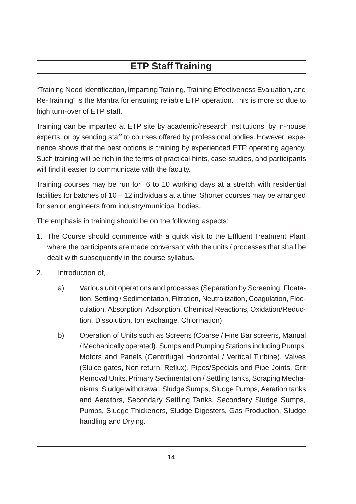# **ETP Staff Training**

"Training Need Identification, Imparting Training, Training Effectiveness Evaluation, and Re-Training" is the Mantra for ensuring reliable ETP operation. This is more so due to high turn-over of ETP staff.

Training can be imparted at ETP site by academic/research institutions, by in-house experts, or by sending staff to courses offered by professional bodies. However, experience shows that the best options is training by experienced ETP operating agency. Such training will be rich in the terms of practical hints, case-studies, and participants will find it easier to communicate with the faculty.

Training courses may be run for 6 to 10 working days at a stretch with residential facilities for batches of 10 – 12 individuals at a time. Shorter courses may be arranged for senior engineers from industry/municipal bodies.

The emphasis in training should be on the following aspects:

- 1. The Course should commence with a quick visit to the Effluent Treatment Plant where the participants are made conversant with the units / processes that shall be dealt with subsequently in the course syllabus.
- 2. Introduction of,
	- a) Various unit operations and processes (Separation by Screening, Floatation, Settling / Sedimentation, Filtration, Neutralization, Coagulation, Flocculation, Absorption, Adsorption, Chemical Reactions, Oxidation/Reduction, Dissolution, Ion exchange, Chlorination)
	- b) Operation of Units such as Screens (Coarse / Fine Bar screens, Manual / Mechanically operated), Sumps and Pumping Stations including Pumps, Motors and Panels (Centrifugal Horizontal / Vertical Turbine), Valves (Sluice gates, Non return, Reflux), Pipes/Specials and Pipe Joints, Grit Removal Units. Primary Sedimentation / Settling tanks, Scraping Mechanisms, Sludge withdrawal, Sludge Sumps, Sludge Pumps, Aeration tanks and Aerators, Secondary Settling Tanks, Secondary Sludge Sumps, Pumps, Sludge Thickeners, Sludge Digesters, Gas Production, Sludge handling and Drying.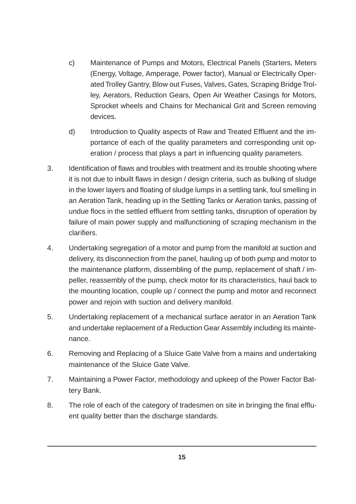- c) Maintenance of Pumps and Motors, Electrical Panels (Starters, Meters (Energy, Voltage, Amperage, Power factor), Manual or Electrically Operated Trolley Gantry, Blow out Fuses, Valves, Gates, Scraping Bridge Trolley, Aerators, Reduction Gears, Open Air Weather Casings for Motors, Sprocket wheels and Chains for Mechanical Grit and Screen removing devices.
- d) Introduction to Quality aspects of Raw and Treated Effluent and the importance of each of the quality parameters and corresponding unit operation / process that plays a part in influencing quality parameters.
- 3. Identification of flaws and troubles with treatment and its trouble shooting where it is not due to inbuilt flaws in design / design criteria, such as bulking of sludge in the lower layers and floating of sludge lumps in a settling tank, foul smelling in an Aeration Tank, heading up in the Settling Tanks or Aeration tanks, passing of undue flocs in the settled effluent from settling tanks, disruption of operation by failure of main power supply and malfunctioning of scraping mechanism in the clarifiers.
- 4. Undertaking segregation of a motor and pump from the manifold at suction and delivery, its disconnection from the panel, hauling up of both pump and motor to the maintenance platform, dissembling of the pump, replacement of shaft / impeller, reassembly of the pump, check motor for its characteristics, haul back to the mounting location, couple up / connect the pump and motor and reconnect power and rejoin with suction and delivery manifold.
- 5. Undertaking replacement of a mechanical surface aerator in an Aeration Tank and undertake replacement of a Reduction Gear Assembly including its maintenance.
- 6. Removing and Replacing of a Sluice Gate Valve from a mains and undertaking maintenance of the Sluice Gate Valve.
- 7. Maintaining a Power Factor, methodology and upkeep of the Power Factor Battery Bank.
- 8. The role of each of the category of tradesmen on site in bringing the final effluent quality better than the discharge standards.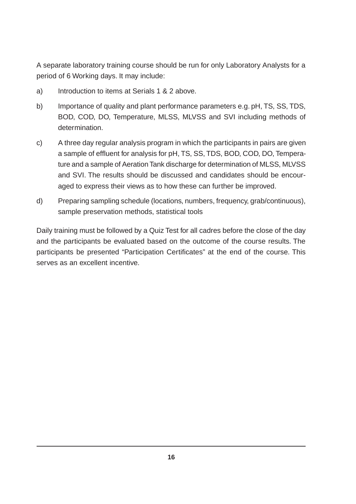A separate laboratory training course should be run for only Laboratory Analysts for a period of 6 Working days. It may include:

- a) Introduction to items at Serials 1 & 2 above.
- b) Importance of quality and plant performance parameters e.g. pH, TS, SS, TDS, BOD, COD, DO, Temperature, MLSS, MLVSS and SVI including methods of determination.
- c) A three day regular analysis program in which the participants in pairs are given a sample of effluent for analysis for pH, TS, SS, TDS, BOD, COD, DO, Temperature and a sample of Aeration Tank discharge for determination of MLSS, MLVSS and SVI. The results should be discussed and candidates should be encouraged to express their views as to how these can further be improved.
- d) Preparing sampling schedule (locations, numbers, frequency, grab/continuous), sample preservation methods, statistical tools

Daily training must be followed by a Quiz Test for all cadres before the close of the day and the participants be evaluated based on the outcome of the course results. The participants be presented "Participation Certificates" at the end of the course. This serves as an excellent incentive.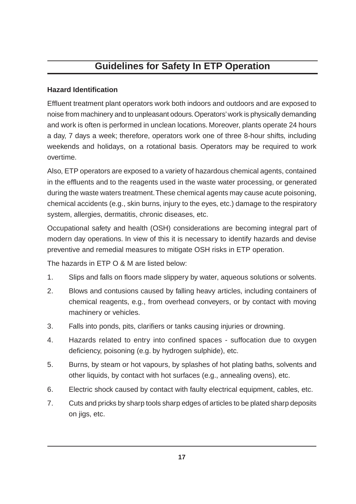# **Guidelines for Safety In ETP Operation**

#### **Hazard Identification**

Effluent treatment plant operators work both indoors and outdoors and are exposed to noise from machinery and to unpleasant odours. Operators' work is physically demanding and work is often is performed in unclean locations. Moreover, plants operate 24 hours a day, 7 days a week; therefore, operators work one of three 8-hour shifts, including weekends and holidays, on a rotational basis. Operators may be required to work overtime.

Also, ETP operators are exposed to a variety of hazardous chemical agents, contained in the effluents and to the reagents used in the waste water processing, or generated during the waste waters treatment. These chemical agents may cause acute poisoning, chemical accidents (e.g., skin burns, injury to the eyes, etc.) damage to the respiratory system, allergies, dermatitis, chronic diseases, etc.

Occupational safety and health (OSH) considerations are becoming integral part of modern day operations. In view of this it is necessary to identify hazards and devise preventive and remedial measures to mitigate OSH risks in ETP operation.

The hazards in ETP O & M are listed below:

- 1. Slips and falls on floors made slippery by water, aqueous solutions or solvents.
- 2. Blows and contusions caused by falling heavy articles, including containers of chemical reagents, e.g., from overhead conveyers, or by contact with moving machinery or vehicles.
- 3. Falls into ponds, pits, clarifiers or tanks causing injuries or drowning.
- 4. Hazards related to entry into confined spaces suffocation due to oxygen deficiency, poisoning (e.g. by hydrogen sulphide), etc.
- 5. Burns, by steam or hot vapours, by splashes of hot plating baths, solvents and other liquids, by contact with hot surfaces (e.g., annealing ovens), etc.
- 6. Electric shock caused by contact with faulty electrical equipment, cables, etc.
- 7. Cuts and pricks by sharp tools sharp edges of articles to be plated sharp deposits on jigs, etc.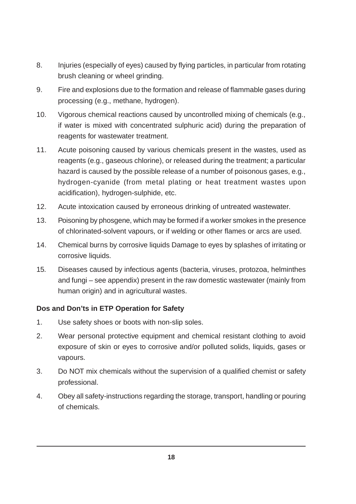- 8. Injuries (especially of eyes) caused by flying particles, in particular from rotating brush cleaning or wheel grinding.
- 9. Fire and explosions due to the formation and release of flammable gases during processing (e.g., methane, hydrogen).
- 10. Vigorous chemical reactions caused by uncontrolled mixing of chemicals (e.g., if water is mixed with concentrated sulphuric acid) during the preparation of reagents for wastewater treatment.
- 11. Acute poisoning caused by various chemicals present in the wastes, used as reagents (e.g., gaseous chlorine), or released during the treatment; a particular hazard is caused by the possible release of a number of poisonous gases, e.g., hydrogen-cyanide (from metal plating or heat treatment wastes upon acidification), hydrogen-sulphide, etc.
- 12. Acute intoxication caused by erroneous drinking of untreated wastewater.
- 13. Poisoning by phosgene, which may be formed if a worker smokes in the presence of chlorinated-solvent vapours, or if welding or other flames or arcs are used.
- 14. Chemical burns by corrosive liquids Damage to eyes by splashes of irritating or corrosive liquids.
- 15. Diseases caused by infectious agents (bacteria, viruses, protozoa, helminthes and fungi – see appendix) present in the raw domestic wastewater (mainly from human origin) and in agricultural wastes.

# **Dos and Don'ts in ETP Operation for Safety**

- 1. Use safety shoes or boots with non-slip soles.
- 2. Wear personal protective equipment and chemical resistant clothing to avoid exposure of skin or eyes to corrosive and/or polluted solids, liquids, gases or vapours.
- 3. Do NOT mix chemicals without the supervision of a qualified chemist or safety professional.
- 4. Obey all safety-instructions regarding the storage, transport, handling or pouring of chemicals.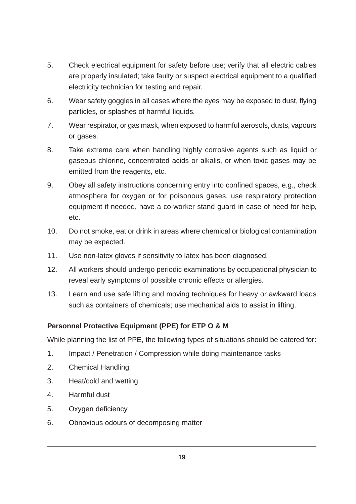- 5. Check electrical equipment for safety before use; verify that all electric cables are properly insulated; take faulty or suspect electrical equipment to a qualified electricity technician for testing and repair.
- 6. Wear safety goggles in all cases where the eyes may be exposed to dust, flying particles, or splashes of harmful liquids.
- 7. Wear respirator, or gas mask, when exposed to harmful aerosols, dusts, vapours or gases.
- 8. Take extreme care when handling highly corrosive agents such as liquid or gaseous chlorine, concentrated acids or alkalis, or when toxic gases may be emitted from the reagents, etc.
- 9. Obey all safety instructions concerning entry into confined spaces, e.g., check atmosphere for oxygen or for poisonous gases, use respiratory protection equipment if needed, have a co-worker stand guard in case of need for help, etc.
- 10. Do not smoke, eat or drink in areas where chemical or biological contamination may be expected.
- 11. Use non-latex gloves if sensitivity to latex has been diagnosed.
- 12. All workers should undergo periodic examinations by occupational physician to reveal early symptoms of possible chronic effects or allergies.
- 13. Learn and use safe lifting and moving techniques for heavy or awkward loads such as containers of chemicals; use mechanical aids to assist in lifting.

# **Personnel Protective Equipment (PPE) for ETP O & M**

While planning the list of PPE, the following types of situations should be catered for:

- 1. Impact / Penetration / Compression while doing maintenance tasks
- 2. Chemical Handling
- 3. Heat/cold and wetting
- 4. Harmful dust
- 5. Oxygen deficiency
- 6. Obnoxious odours of decomposing matter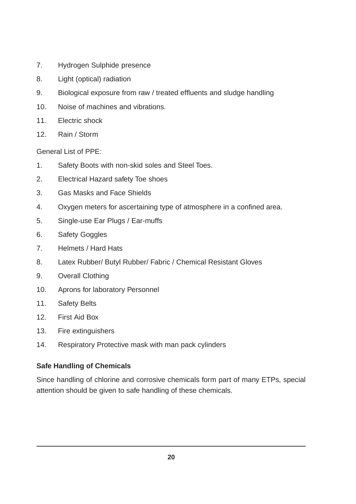- 7. Hydrogen Sulphide presence
- 8. Light (optical) radiation
- 9. Biological exposure from raw / treated effluents and sludge handling
- 10. Noise of machines and vibrations.
- 11. Electric shock
- 12. Rain / Storm

General List of PPE:

- 1. Safety Boots with non-skid soles and Steel Toes.
- 2. Electrical Hazard safety Toe shoes
- 3. Gas Masks and Face Shields
- 4. Oxygen meters for ascertaining type of atmosphere in a confined area.
- 5. Single-use Ear Plugs / Ear-muffs
- 6. Safety Goggles
- 7. Helmets / Hard Hats
- 8. Latex Rubber/ Butyl Rubber/ Fabric / Chemical Resistant Gloves
- 9. Overall Clothing
- 10. Aprons for laboratory Personnel
- 11. Safety Belts
- 12. First Aid Box
- 13. Fire extinguishers
- 14. Respiratory Protective mask with man pack cylinders

# **Safe Handling of Chemicals**

Since handling of chlorine and corrosive chemicals form part of many ETPs, special attention should be given to safe handling of these chemicals.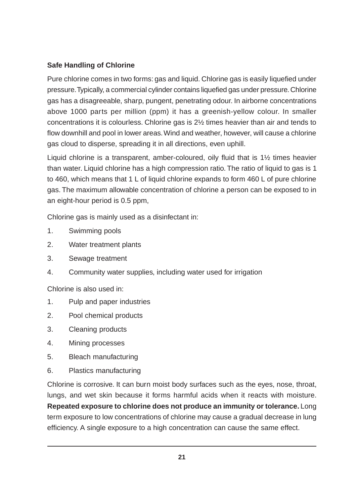# **Safe Handling of Chlorine**

Pure chlorine comes in two forms: gas and liquid. Chlorine gas is easily liquefied under pressure. Typically, a commercial cylinder contains liquefied gas under pressure. Chlorine gas has a disagreeable, sharp, pungent, penetrating odour. In airborne concentrations above 1000 parts per million (ppm) it has a greenish-yellow colour. In smaller concentrations it is colourless. Chlorine gas is 2½ times heavier than air and tends to flow downhill and pool in lower areas. Wind and weather, however, will cause a chlorine gas cloud to disperse, spreading it in all directions, even uphill.

Liquid chlorine is a transparent, amber-coloured, oily fluid that is 1½ times heavier than water. Liquid chlorine has a high compression ratio. The ratio of liquid to gas is 1 to 460, which means that 1 L of liquid chlorine expands to form 460 L of pure chlorine gas. The maximum allowable concentration of chlorine a person can be exposed to in an eight-hour period is 0.5 ppm,

Chlorine gas is mainly used as a disinfectant in:

- 1. Swimming pools
- 2. Water treatment plants
- 3. Sewage treatment
- 4. Community water supplies, including water used for irrigation

Chlorine is also used in:

- 1. Pulp and paper industries
- 2. Pool chemical products
- 3. Cleaning products
- 4. Mining processes
- 5. Bleach manufacturing
- 6. Plastics manufacturing

Chlorine is corrosive. It can burn moist body surfaces such as the eyes, nose, throat, lungs, and wet skin because it forms harmful acids when it reacts with moisture. **Repeated exposure to chlorine does not produce an immunity or tolerance.** Long term exposure to low concentrations of chlorine may cause a gradual decrease in lung efficiency. A single exposure to a high concentration can cause the same effect.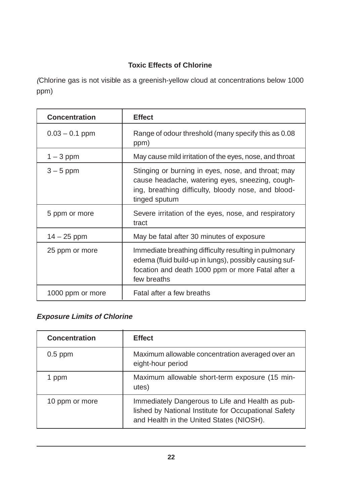# **Toxic Effects of Chlorine**

(Chlorine gas is not visible as a greenish-yellow cloud at concentrations below 1000 ppm)

| <b>Concentration</b> | <b>Effect</b>                                                                                                                                                                       |
|----------------------|-------------------------------------------------------------------------------------------------------------------------------------------------------------------------------------|
| $0.03 - 0.1$ ppm     | Range of odour threshold (many specify this as 0.08<br>ppm)                                                                                                                         |
| $1 - 3$ ppm          | May cause mild irritation of the eyes, nose, and throat                                                                                                                             |
| $3 - 5$ ppm          | Stinging or burning in eyes, nose, and throat; may<br>cause headache, watering eyes, sneezing, cough-<br>ing, breathing difficulty, bloody nose, and blood-<br>tinged sputum        |
| 5 ppm or more        | Severe irritation of the eyes, nose, and respiratory<br>tract                                                                                                                       |
| $14 - 25$ ppm        | May be fatal after 30 minutes of exposure                                                                                                                                           |
| 25 ppm or more       | Immediate breathing difficulty resulting in pulmonary<br>edema (fluid build-up in lungs), possibly causing suf-<br>focation and death 1000 ppm or more Fatal after a<br>few breaths |
| 1000 ppm or more     | Fatal after a few breaths                                                                                                                                                           |

# **Exposure Limits of Chlorine**

| <b>Concentration</b> | <b>Effect</b>                                                                                                                                        |
|----------------------|------------------------------------------------------------------------------------------------------------------------------------------------------|
| $0.5$ ppm            | Maximum allowable concentration averaged over an<br>eight-hour period                                                                                |
| 1 ppm                | Maximum allowable short-term exposure (15 min-<br>utes)                                                                                              |
| 10 ppm or more       | Immediately Dangerous to Life and Health as pub-<br>lished by National Institute for Occupational Safety<br>and Health in the United States (NIOSH). |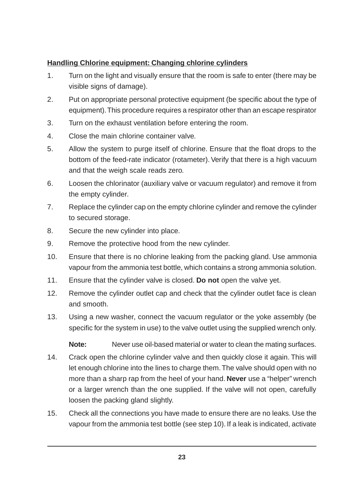# **Handling Chlorine equipment: Changing chlorine cylinders**

- 1. Turn on the light and visually ensure that the room is safe to enter (there may be visible signs of damage).
- 2. Put on appropriate personal protective equipment (be specific about the type of equipment). This procedure requires a respirator other than an escape respirator
- 3. Turn on the exhaust ventilation before entering the room.
- 4. Close the main chlorine container valve.
- 5. Allow the system to purge itself of chlorine. Ensure that the float drops to the bottom of the feed-rate indicator (rotameter). Verify that there is a high vacuum and that the weigh scale reads zero.
- 6. Loosen the chlorinator (auxiliary valve or vacuum regulator) and remove it from the empty cylinder.
- 7. Replace the cylinder cap on the empty chlorine cylinder and remove the cylinder to secured storage.
- 8. Secure the new cylinder into place.
- 9. Remove the protective hood from the new cylinder.
- 10. Ensure that there is no chlorine leaking from the packing gland. Use ammonia vapour from the ammonia test bottle, which contains a strong ammonia solution.
- 11. Ensure that the cylinder valve is closed. **Do not** open the valve yet.
- 12. Remove the cylinder outlet cap and check that the cylinder outlet face is clean and smooth.
- 13. Using a new washer, connect the vacuum regulator or the yoke assembly (be specific for the system in use) to the valve outlet using the supplied wrench only.

**Note:** Never use oil-based material or water to clean the mating surfaces.

- 14. Crack open the chlorine cylinder valve and then quickly close it again. This will let enough chlorine into the lines to charge them. The valve should open with no more than a sharp rap from the heel of your hand. **Never** use a "helper" wrench or a larger wrench than the one supplied. If the valve will not open, carefully loosen the packing gland slightly.
- 15. Check all the connections you have made to ensure there are no leaks. Use the vapour from the ammonia test bottle (see step 10). If a leak is indicated, activate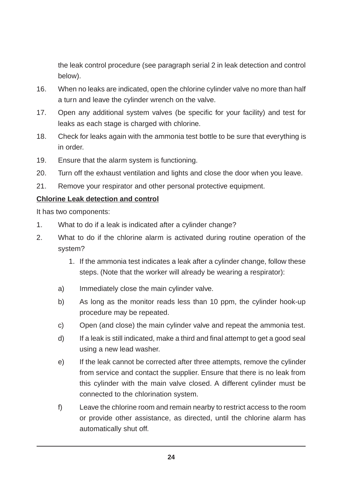the leak control procedure (see paragraph serial 2 in leak detection and control below).

- 16. When no leaks are indicated, open the chlorine cylinder valve no more than half a turn and leave the cylinder wrench on the valve.
- 17. Open any additional system valves (be specific for your facility) and test for leaks as each stage is charged with chlorine.
- 18. Check for leaks again with the ammonia test bottle to be sure that everything is in order.
- 19. Ensure that the alarm system is functioning.
- 20. Turn off the exhaust ventilation and lights and close the door when you leave.
- 21. Remove your respirator and other personal protective equipment.

#### **Chlorine Leak detection and control**

It has two components:

- 1. What to do if a leak is indicated after a cylinder change?
- 2. What to do if the chlorine alarm is activated during routine operation of the system?
	- 1. If the ammonia test indicates a leak after a cylinder change, follow these steps. (Note that the worker will already be wearing a respirator):
	- a) Immediately close the main cylinder valve.
	- b) As long as the monitor reads less than 10 ppm, the cylinder hook-up procedure may be repeated.
	- c) Open (and close) the main cylinder valve and repeat the ammonia test.
	- d) If a leak is still indicated, make a third and final attempt to get a good seal using a new lead washer.
	- e) If the leak cannot be corrected after three attempts, remove the cylinder from service and contact the supplier. Ensure that there is no leak from this cylinder with the main valve closed. A different cylinder must be connected to the chlorination system.
	- f) Leave the chlorine room and remain nearby to restrict access to the room or provide other assistance, as directed, until the chlorine alarm has automatically shut off.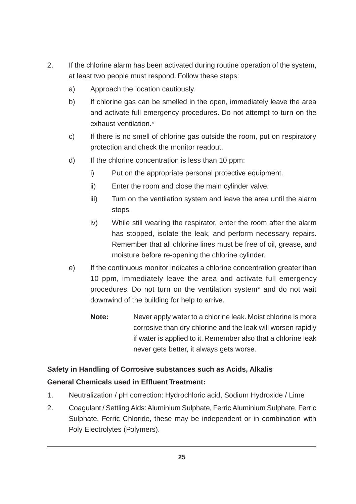- 2. If the chlorine alarm has been activated during routine operation of the system, at least two people must respond. Follow these steps:
	- a) Approach the location cautiously.
	- b) If chlorine gas can be smelled in the open, immediately leave the area and activate full emergency procedures. Do not attempt to turn on the exhaust ventilation.\*
	- c) If there is no smell of chlorine gas outside the room, put on respiratory protection and check the monitor readout.
	- d) If the chlorine concentration is less than 10 ppm:
		- i) Put on the appropriate personal protective equipment.
		- ii) Enter the room and close the main cylinder valve.
		- iii) Turn on the ventilation system and leave the area until the alarm stops.
		- iv) While still wearing the respirator, enter the room after the alarm has stopped, isolate the leak, and perform necessary repairs. Remember that all chlorine lines must be free of oil, grease, and moisture before re-opening the chlorine cylinder.
	- e) If the continuous monitor indicates a chlorine concentration greater than 10 ppm, immediately leave the area and activate full emergency procedures. Do not turn on the ventilation system\* and do not wait downwind of the building for help to arrive.
		- **Note:** Never apply water to a chlorine leak. Moist chlorine is more corrosive than dry chlorine and the leak will worsen rapidly if water is applied to it. Remember also that a chlorine leak never gets better, it always gets worse.

# **Safety in Handling of Corrosive substances such as Acids, Alkalis General Chemicals used in Effluent Treatment:**

- 1. Neutralization / pH correction: Hydrochloric acid, Sodium Hydroxide / Lime
- 2. Coagulant / Settling Aids: Aluminium Sulphate, Ferric Aluminium Sulphate, Ferric Sulphate, Ferric Chloride, these may be independent or in combination with Poly Electrolytes (Polymers).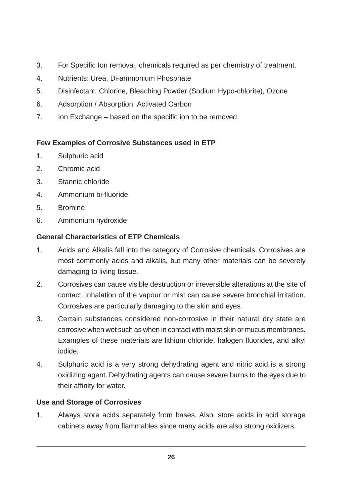- 3. For Specific Ion removal, chemicals required as per chemistry of treatment.
- 4. Nutrients: Urea, Di-ammonium Phosphate
- 5. Disinfectant: Chlorine, Bleaching Powder (Sodium Hypo-chlorite), Ozone
- 6. Adsorption / Absorption: Activated Carbon
- 7. Ion Exchange based on the specific ion to be removed.

# **Few Examples of Corrosive Substances used in ETP**

- 1. Sulphuric acid
- 2. Chromic acid
- 3. Stannic chloride
- 4. Ammonium bi-fluoride
- 5. Bromine
- 6. Ammonium hydroxide

# **General Characteristics of ETP Chemicals**

- 1. Acids and Alkalis fall into the category of Corrosive chemicals. Corrosives are most commonly acids and alkalis, but many other materials can be severely damaging to living tissue.
- 2. Corrosives can cause visible destruction or irreversible alterations at the site of contact. Inhalation of the vapour or mist can cause severe bronchial irritation. Corrosives are particularly damaging to the skin and eyes.
- 3. Certain substances considered non-corrosive in their natural dry state are corrosive when wet such as when in contact with moist skin or mucus membranes. Examples of these materials are lithium chloride, halogen fluorides, and alkyl iodide.
- 4. Sulphuric acid is a very strong dehydrating agent and nitric acid is a strong oxidizing agent. Dehydrating agents can cause severe burns to the eyes due to their affinity for water.

# **Use and Storage of Corrosives**

1. Always store acids separately from bases. Also, store acids in acid storage cabinets away from flammables since many acids are also strong oxidizers.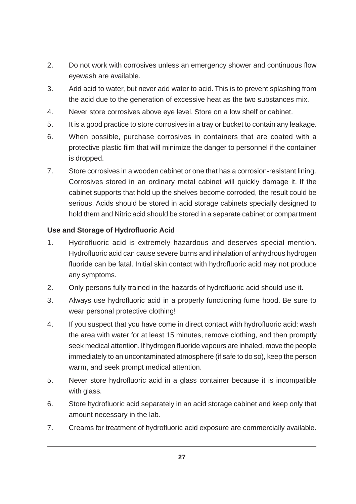- 2. Do not work with corrosives unless an emergency shower and continuous flow eyewash are available.
- 3. Add acid to water, but never add water to acid. This is to prevent splashing from the acid due to the generation of excessive heat as the two substances mix.
- 4. Never store corrosives above eye level. Store on a low shelf or cabinet.
- 5. It is a good practice to store corrosives in a tray or bucket to contain any leakage.
- 6. When possible, purchase corrosives in containers that are coated with a protective plastic film that will minimize the danger to personnel if the container is dropped.
- 7. Store corrosives in a wooden cabinet or one that has a corrosion-resistant lining. Corrosives stored in an ordinary metal cabinet will quickly damage it. If the cabinet supports that hold up the shelves become corroded, the result could be serious. Acids should be stored in acid storage cabinets specially designed to hold them and Nitric acid should be stored in a separate cabinet or compartment

#### **Use and Storage of Hydrofluoric Acid**

- 1. Hydrofluoric acid is extremely hazardous and deserves special mention. Hydrofluoric acid can cause severe burns and inhalation of anhydrous hydrogen fluoride can be fatal. Initial skin contact with hydrofluoric acid may not produce any symptoms.
- 2. Only persons fully trained in the hazards of hydrofluoric acid should use it.
- 3. Always use hydrofluoric acid in a properly functioning fume hood. Be sure to wear personal protective clothing!
- 4. If you suspect that you have come in direct contact with hydrofluoric acid: wash the area with water for at least 15 minutes, remove clothing, and then promptly seek medical attention. If hydrogen fluoride vapours are inhaled, move the people immediately to an uncontaminated atmosphere (if safe to do so), keep the person warm, and seek prompt medical attention.
- 5. Never store hydrofluoric acid in a glass container because it is incompatible with glass.
- 6. Store hydrofluoric acid separately in an acid storage cabinet and keep only that amount necessary in the lab.
- 7. Creams for treatment of hydrofluoric acid exposure are commercially available.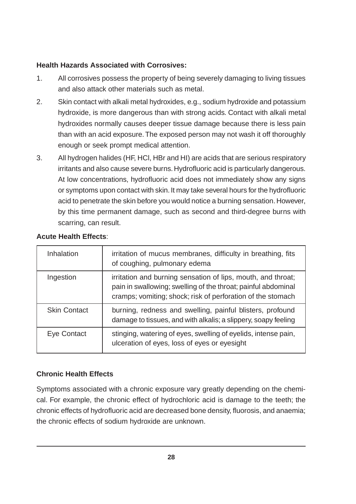#### **Health Hazards Associated with Corrosives:**

- 1. All corrosives possess the property of being severely damaging to living tissues and also attack other materials such as metal.
- 2. Skin contact with alkali metal hydroxides, e.g., sodium hydroxide and potassium hydroxide, is more dangerous than with strong acids. Contact with alkali metal hydroxides normally causes deeper tissue damage because there is less pain than with an acid exposure. The exposed person may not wash it off thoroughly enough or seek prompt medical attention.
- 3. All hydrogen halides (HF, HCl, HBr and HI) are acids that are serious respiratory irritants and also cause severe burns. Hydrofluoric acid is particularly dangerous. At low concentrations, hydrofluoric acid does not immediately show any signs or symptoms upon contact with skin. It may take several hours for the hydrofluoric acid to penetrate the skin before you would notice a burning sensation. However, by this time permanent damage, such as second and third-degree burns with scarring, can result.

| Inhalation          | irritation of mucus membranes, difficulty in breathing, fits<br>of coughing, pulmonary edema                                                                                                 |  |  |  |  |
|---------------------|----------------------------------------------------------------------------------------------------------------------------------------------------------------------------------------------|--|--|--|--|
| Ingestion           | irritation and burning sensation of lips, mouth, and throat;<br>pain in swallowing; swelling of the throat; painful abdominal<br>cramps; vomiting; shock; risk of perforation of the stomach |  |  |  |  |
| <b>Skin Contact</b> | burning, redness and swelling, painful blisters, profound<br>damage to tissues, and with alkalis; a slippery, soapy feeling                                                                  |  |  |  |  |
| Eye Contact         | stinging, watering of eyes, swelling of eyelids, intense pain,<br>ulceration of eyes, loss of eyes or eyesight                                                                               |  |  |  |  |

# **Acute Health Effects**:

# **Chronic Health Effects**

Symptoms associated with a chronic exposure vary greatly depending on the chemical. For example, the chronic effect of hydrochloric acid is damage to the teeth; the chronic effects of hydrofluoric acid are decreased bone density, fluorosis, and anaemia; the chronic effects of sodium hydroxide are unknown.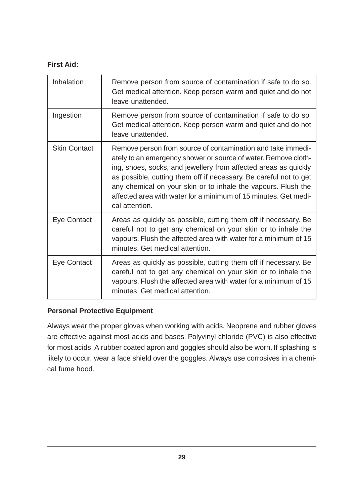# **First Aid:**

| Inhalation          | Remove person from source of contamination if safe to do so.<br>Get medical attention. Keep person warm and quiet and do not<br>leave unattended.                                                                                                                                                                                                                                                                           |
|---------------------|-----------------------------------------------------------------------------------------------------------------------------------------------------------------------------------------------------------------------------------------------------------------------------------------------------------------------------------------------------------------------------------------------------------------------------|
| Ingestion           | Remove person from source of contamination if safe to do so.<br>Get medical attention. Keep person warm and quiet and do not<br>leave unattended.                                                                                                                                                                                                                                                                           |
| <b>Skin Contact</b> | Remove person from source of contamination and take immedi-<br>ately to an emergency shower or source of water. Remove cloth-<br>ing, shoes, socks, and jewellery from affected areas as quickly<br>as possible, cutting them off if necessary. Be careful not to get<br>any chemical on your skin or to inhale the vapours. Flush the<br>affected area with water for a minimum of 15 minutes. Get medi-<br>cal attention. |
| Eye Contact         | Areas as quickly as possible, cutting them off if necessary. Be<br>careful not to get any chemical on your skin or to inhale the<br>vapours. Flush the affected area with water for a minimum of 15<br>minutes. Get medical attention.                                                                                                                                                                                      |
| Eye Contact         | Areas as quickly as possible, cutting them off if necessary. Be<br>careful not to get any chemical on your skin or to inhale the<br>vapours. Flush the affected area with water for a minimum of 15<br>minutes. Get medical attention.                                                                                                                                                                                      |

#### **Personal Protective Equipment**

Always wear the proper gloves when working with acids. Neoprene and rubber gloves are effective against most acids and bases. Polyvinyl chloride (PVC) is also effective for most acids. A rubber coated apron and goggles should also be worn. If splashing is likely to occur, wear a face shield over the goggles. Always use corrosives in a chemical fume hood.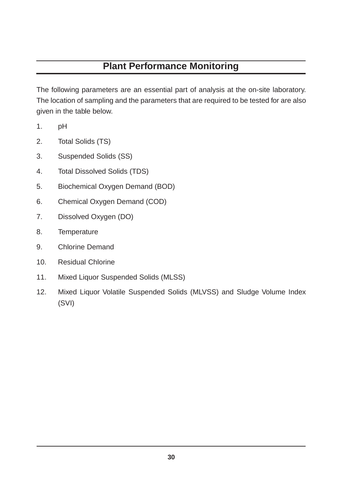# **Plant Performance Monitoring**

The following parameters are an essential part of analysis at the on-site laboratory. The location of sampling and the parameters that are required to be tested for are also given in the table below.

- 1. pH
- 2. Total Solids (TS)
- 3. Suspended Solids (SS)
- 4. Total Dissolved Solids (TDS)
- 5. Biochemical Oxygen Demand (BOD)
- 6. Chemical Oxygen Demand (COD)
- 7. Dissolved Oxygen (DO)
- 8. Temperature
- 9. Chlorine Demand
- 10. Residual Chlorine
- 11. Mixed Liquor Suspended Solids (MLSS)
- 12. Mixed Liquor Volatile Suspended Solids (MLVSS) and Sludge Volume Index (SVI)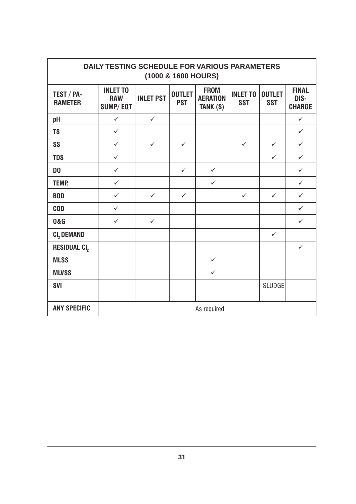| DAILY TESTING SCHEDULE FOR VARIOUS PARAMETERS<br>(1000 & 1600 HOURS) |                                                  |                  |                             |                                            |                               |                             |                                       |
|----------------------------------------------------------------------|--------------------------------------------------|------------------|-----------------------------|--------------------------------------------|-------------------------------|-----------------------------|---------------------------------------|
| TEST / PA-<br><b>RAMETER</b>                                         | <b>INLET TO</b><br><b>RAW</b><br><b>SUMP/EQT</b> | <b>INLET PST</b> | <b>OUTLET</b><br><b>PST</b> | <b>FROM</b><br><b>AERATION</b><br>TANK (S) | <b>INLET TO</b><br><b>SST</b> | <b>OUTLET</b><br><b>SST</b> | <b>FINAL</b><br>DIS-<br><b>CHARGE</b> |
| pH                                                                   | $\checkmark$                                     | $\checkmark$     |                             |                                            |                               |                             | $\checkmark$                          |
| <b>TS</b>                                                            | $\checkmark$                                     |                  |                             |                                            |                               |                             | $\checkmark$                          |
| SS                                                                   | $\checkmark$                                     | $\checkmark$     | $\checkmark$                |                                            | $\checkmark$                  | $\checkmark$                | $\checkmark$                          |
| <b>TDS</b>                                                           | $\checkmark$                                     |                  |                             |                                            |                               | $\checkmark$                | $\checkmark$                          |
| D <sub>0</sub>                                                       | $\checkmark$                                     |                  | $\checkmark$                | $\checkmark$                               |                               |                             | $\checkmark$                          |
| <b>TEMP.</b>                                                         | $\checkmark$                                     |                  |                             | $\checkmark$                               |                               |                             | $\checkmark$                          |
| <b>BOD</b>                                                           | $\checkmark$                                     | $\checkmark$     | $\checkmark$                |                                            | $\checkmark$                  | $\checkmark$                | $\checkmark$                          |
| <b>COD</b>                                                           | $\checkmark$                                     |                  |                             |                                            |                               |                             | $\checkmark$                          |
| <b>0&amp;G</b>                                                       | $\checkmark$                                     | $\checkmark$     |                             |                                            |                               |                             | $\checkmark$                          |
| CI, DEMAND                                                           |                                                  |                  |                             |                                            |                               | $\checkmark$                |                                       |
| RESIDUAL CI,                                                         |                                                  |                  |                             |                                            |                               |                             | $\checkmark$                          |
| <b>MLSS</b>                                                          |                                                  |                  |                             | $\checkmark$                               |                               |                             |                                       |
| <b>MLVSS</b>                                                         |                                                  |                  |                             | $\checkmark$                               |                               |                             |                                       |
| <b>SVI</b>                                                           |                                                  |                  |                             |                                            |                               | <b>SLUDGE</b>               |                                       |
| <b>ANY SPECIFIC</b>                                                  | As required                                      |                  |                             |                                            |                               |                             |                                       |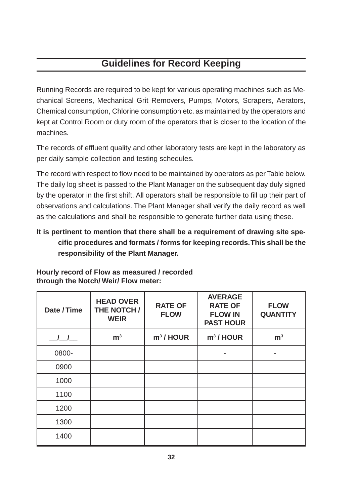# **Guidelines for Record Keeping**

Running Records are required to be kept for various operating machines such as Mechanical Screens, Mechanical Grit Removers, Pumps, Motors, Scrapers, Aerators, Chemical consumption, Chlorine consumption etc. as maintained by the operators and kept at Control Room or duty room of the operators that is closer to the location of the machines.

The records of effluent quality and other laboratory tests are kept in the laboratory as per daily sample collection and testing schedules.

The record with respect to flow need to be maintained by operators as per Table below. The daily log sheet is passed to the Plant Manager on the subsequent day duly signed by the operator in the first shift. All operators shall be responsible to fill up their part of observations and calculations. The Plant Manager shall verify the daily record as well as the calculations and shall be responsible to generate further data using these.

# **It is pertinent to mention that there shall be a requirement of drawing site specific procedures and formats / forms for keeping records. This shall be the responsibility of the Plant Manager.**

| Date / Time | <b>HEAD OVER</b><br>THE NOTCH /<br><b>WEIR</b> | <b>RATE OF</b><br><b>FLOW</b> | <b>AVERAGE</b><br><b>RATE OF</b><br><b>FLOW IN</b><br><b>PAST HOUR</b> | <b>FLOW</b><br><b>QUANTITY</b> |
|-------------|------------------------------------------------|-------------------------------|------------------------------------------------------------------------|--------------------------------|
| $\sqrt{1}$  | m <sup>3</sup>                                 | $m3$ / HOUR                   | $m3$ / HOUR                                                            | m <sup>3</sup>                 |
| 0800-       |                                                |                               |                                                                        |                                |
| 0900        |                                                |                               |                                                                        |                                |
| 1000        |                                                |                               |                                                                        |                                |
| 1100        |                                                |                               |                                                                        |                                |
| 1200        |                                                |                               |                                                                        |                                |
| 1300        |                                                |                               |                                                                        |                                |
| 1400        |                                                |                               |                                                                        |                                |

**Hourly record of Flow as measured / recorded through the Notch/ Weir/ Flow meter:**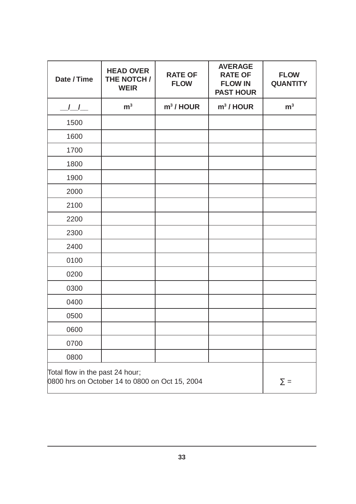| Date / Time                                                                       | <b>HEAD OVER</b><br>THE NOTCH /<br><b>WEIR</b> | <b>RATE OF</b><br><b>FLOW</b> | <b>AVERAGE</b><br><b>RATE OF</b><br><b>FLOW IN</b><br><b>PAST HOUR</b> | <b>FLOW</b><br><b>QUANTITY</b> |
|-----------------------------------------------------------------------------------|------------------------------------------------|-------------------------------|------------------------------------------------------------------------|--------------------------------|
| $\frac{1}{1}$                                                                     | m <sup>3</sup>                                 | $m3$ / HOUR                   | $m3$ / HOUR                                                            | m <sup>3</sup>                 |
| 1500                                                                              |                                                |                               |                                                                        |                                |
| 1600                                                                              |                                                |                               |                                                                        |                                |
| 1700                                                                              |                                                |                               |                                                                        |                                |
| 1800                                                                              |                                                |                               |                                                                        |                                |
| 1900                                                                              |                                                |                               |                                                                        |                                |
| 2000                                                                              |                                                |                               |                                                                        |                                |
| 2100                                                                              |                                                |                               |                                                                        |                                |
| 2200                                                                              |                                                |                               |                                                                        |                                |
| 2300                                                                              |                                                |                               |                                                                        |                                |
| 2400                                                                              |                                                |                               |                                                                        |                                |
| 0100                                                                              |                                                |                               |                                                                        |                                |
| 0200                                                                              |                                                |                               |                                                                        |                                |
| 0300                                                                              |                                                |                               |                                                                        |                                |
| 0400                                                                              |                                                |                               |                                                                        |                                |
| 0500                                                                              |                                                |                               |                                                                        |                                |
| 0600                                                                              |                                                |                               |                                                                        |                                |
| 0700                                                                              |                                                |                               |                                                                        |                                |
| 0800                                                                              |                                                |                               |                                                                        |                                |
| Total flow in the past 24 hour;<br>0800 hrs on October 14 to 0800 on Oct 15, 2004 | $\Sigma =$                                     |                               |                                                                        |                                |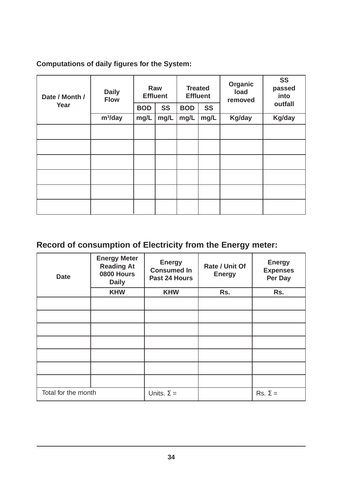# **Computations of daily figures for the System:**

| Date / Month /<br>Year | <b>Daily</b><br><b>Flow</b> | <b>BOD</b> | Raw<br><b>Effluent</b><br><b>SS</b> | <b>BOD</b> | <b>Treated</b><br><b>Effluent</b><br><b>SS</b> | Organic<br>load<br>removed | <b>SS</b><br>passed<br>into<br>outfall |
|------------------------|-----------------------------|------------|-------------------------------------|------------|------------------------------------------------|----------------------------|----------------------------------------|
|                        | $m^3$ /day                  | mg/L       | mg/L                                | mg/L       | mg/L                                           | Kg/day                     | Kg/day                                 |
|                        |                             |            |                                     |            |                                                |                            |                                        |
|                        |                             |            |                                     |            |                                                |                            |                                        |
|                        |                             |            |                                     |            |                                                |                            |                                        |
|                        |                             |            |                                     |            |                                                |                            |                                        |
|                        |                             |            |                                     |            |                                                |                            |                                        |
|                        |                             |            |                                     |            |                                                |                            |                                        |

# **Record of consumption of Electricity from the Energy meter:**

| <b>Date</b>         | <b>Energy Meter</b><br><b>Reading At</b><br>0800 Hours<br><b>Daily</b> | <b>Energy</b><br><b>Consumed In</b><br>Past 24 Hours | Rate / Unit Of<br><b>Energy</b> | <b>Energy</b><br><b>Expenses</b><br>Per Day |
|---------------------|------------------------------------------------------------------------|------------------------------------------------------|---------------------------------|---------------------------------------------|
|                     | <b>KHW</b>                                                             | <b>KHW</b>                                           | Rs.                             | Rs.                                         |
|                     |                                                                        |                                                      |                                 |                                             |
|                     |                                                                        |                                                      |                                 |                                             |
|                     |                                                                        |                                                      |                                 |                                             |
|                     |                                                                        |                                                      |                                 |                                             |
|                     |                                                                        |                                                      |                                 |                                             |
|                     |                                                                        |                                                      |                                 |                                             |
|                     |                                                                        |                                                      |                                 |                                             |
| Total for the month |                                                                        | Units. $\Sigma =$                                    |                                 | $Rs. \Sigma =$                              |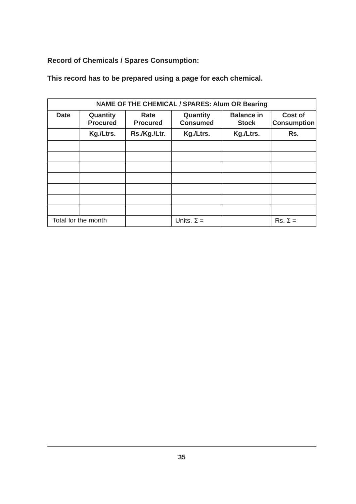**Record of Chemicals / Spares Consumption:**

|             | <b>NAME OF THE CHEMICAL / SPARES: Alum OR Bearing</b> |                         |                             |                                   |                                      |  |  |
|-------------|-------------------------------------------------------|-------------------------|-----------------------------|-----------------------------------|--------------------------------------|--|--|
| <b>Date</b> | Quantity<br><b>Procured</b>                           | Rate<br><b>Procured</b> | Quantity<br><b>Consumed</b> | <b>Balance in</b><br><b>Stock</b> | <b>Cost of</b><br><b>Consumption</b> |  |  |
|             | Kg./Ltrs.                                             | Rs./Kg./Ltr.            | Kg./Ltrs.                   | Kg./Ltrs.                         | Rs.                                  |  |  |
|             |                                                       |                         |                             |                                   |                                      |  |  |
|             |                                                       |                         |                             |                                   |                                      |  |  |
|             |                                                       |                         |                             |                                   |                                      |  |  |
|             |                                                       |                         |                             |                                   |                                      |  |  |
|             |                                                       |                         |                             |                                   |                                      |  |  |
|             |                                                       |                         |                             |                                   |                                      |  |  |
|             |                                                       |                         |                             |                                   |                                      |  |  |
|             | Total for the month                                   |                         | Units. $\Sigma =$           |                                   | $Rs. \Sigma =$                       |  |  |

**This record has to be prepared using a page for each chemical.**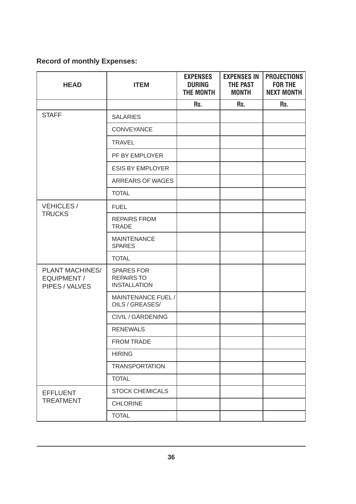# **Record of monthly Expenses:**

| <b>HEAD</b>                                      | <b>ITEM</b>                                                   | <b>EXPENSES</b><br><b>DURING</b><br><b>THE MONTH</b> | <b>EXPENSES IN</b><br>THE PAST<br><b>MONTH</b> | <b>PROJECTIONS</b><br><b>FOR THE</b><br><b>NEXT MONTH</b> |
|--------------------------------------------------|---------------------------------------------------------------|------------------------------------------------------|------------------------------------------------|-----------------------------------------------------------|
|                                                  |                                                               | Rs.                                                  | Rs.                                            | Rs.                                                       |
| <b>STAFF</b>                                     | <b>SALARIES</b>                                               |                                                      |                                                |                                                           |
|                                                  | <b>CONVEYANCE</b>                                             |                                                      |                                                |                                                           |
|                                                  | <b>TRAVEL</b>                                                 |                                                      |                                                |                                                           |
|                                                  | PF BY EMPLOYER                                                |                                                      |                                                |                                                           |
|                                                  | <b>ESIS BY EMPLOYER</b>                                       |                                                      |                                                |                                                           |
|                                                  | <b>ARREARS OF WAGES</b>                                       |                                                      |                                                |                                                           |
|                                                  | <b>TOTAL</b>                                                  |                                                      |                                                |                                                           |
| <b>VEHICLES/</b>                                 | <b>FUEL</b>                                                   |                                                      |                                                |                                                           |
| <b>TRUCKS</b>                                    | <b>REPAIRS FROM</b><br><b>TRADE</b>                           |                                                      |                                                |                                                           |
|                                                  | <b>MAINTENANCE</b><br><b>SPARES</b>                           |                                                      |                                                |                                                           |
|                                                  | <b>TOTAL</b>                                                  |                                                      |                                                |                                                           |
| PLANT MACHINES/<br>EQUIPMENT /<br>PIPES / VALVES | <b>SPARES FOR</b><br><b>REPAIRS TO</b><br><b>INSTALLATION</b> |                                                      |                                                |                                                           |
|                                                  | MAINTENANCE FUEL /<br>OILS / GREASES/                         |                                                      |                                                |                                                           |
|                                                  | CIVIL / GARDENING                                             |                                                      |                                                |                                                           |
|                                                  | <b>RENEWALS</b>                                               |                                                      |                                                |                                                           |
|                                                  | <b>FROM TRADE</b>                                             |                                                      |                                                |                                                           |
|                                                  | <b>HIRING</b>                                                 |                                                      |                                                |                                                           |
|                                                  | <b>TRANSPORTATION</b>                                         |                                                      |                                                |                                                           |
|                                                  | <b>TOTAL</b>                                                  |                                                      |                                                |                                                           |
| <b>EFFLUENT</b>                                  | <b>STOCK CHEMICALS</b>                                        |                                                      |                                                |                                                           |
| <b>TREATMENT</b>                                 | <b>CHLORINE</b>                                               |                                                      |                                                |                                                           |
|                                                  | <b>TOTAL</b>                                                  |                                                      |                                                |                                                           |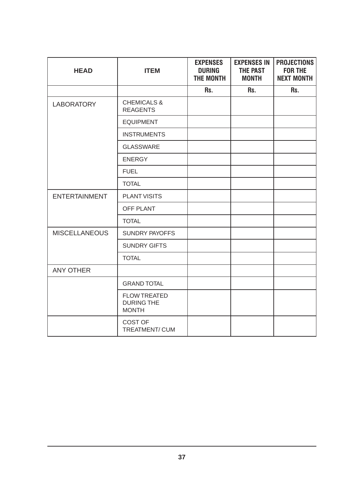| <b>HEAD</b>          | <b>ITEM</b>                                              | <b>EXPENSES</b><br><b>DURING</b><br><b>THE MONTH</b> | <b>EXPENSES IN</b><br><b>THE PAST</b><br><b>MONTH</b> | <b>PROJECTIONS</b><br><b>FOR THE</b><br><b>NEXT MONTH</b> |
|----------------------|----------------------------------------------------------|------------------------------------------------------|-------------------------------------------------------|-----------------------------------------------------------|
|                      |                                                          | Rs.                                                  | Rs.                                                   | Rs.                                                       |
| <b>LABORATORY</b>    | <b>CHEMICALS &amp;</b><br><b>REAGENTS</b>                |                                                      |                                                       |                                                           |
|                      | <b>EQUIPMENT</b>                                         |                                                      |                                                       |                                                           |
|                      | <b>INSTRUMENTS</b>                                       |                                                      |                                                       |                                                           |
|                      | <b>GLASSWARE</b>                                         |                                                      |                                                       |                                                           |
|                      | <b>ENERGY</b>                                            |                                                      |                                                       |                                                           |
|                      | <b>FUEL</b>                                              |                                                      |                                                       |                                                           |
|                      | <b>TOTAL</b>                                             |                                                      |                                                       |                                                           |
| <b>ENTERTAINMENT</b> | <b>PLANT VISITS</b>                                      |                                                      |                                                       |                                                           |
|                      | OFF PLANT                                                |                                                      |                                                       |                                                           |
|                      | <b>TOTAL</b>                                             |                                                      |                                                       |                                                           |
| <b>MISCELLANEOUS</b> | <b>SUNDRY PAYOFFS</b>                                    |                                                      |                                                       |                                                           |
|                      | <b>SUNDRY GIFTS</b>                                      |                                                      |                                                       |                                                           |
|                      | <b>TOTAL</b>                                             |                                                      |                                                       |                                                           |
| <b>ANY OTHER</b>     |                                                          |                                                      |                                                       |                                                           |
|                      | <b>GRAND TOTAL</b>                                       |                                                      |                                                       |                                                           |
|                      | <b>FLOW TREATED</b><br><b>DURING THE</b><br><b>MONTH</b> |                                                      |                                                       |                                                           |
|                      | <b>COST OF</b><br>TREATMENT/CUM                          |                                                      |                                                       |                                                           |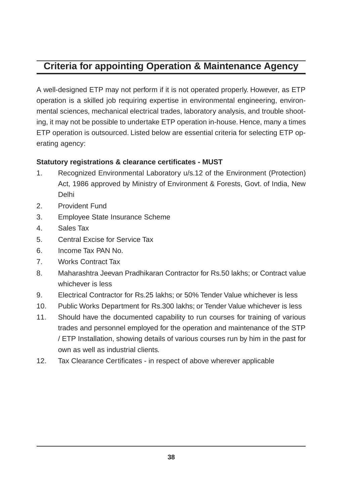# **Criteria for appointing Operation & Maintenance Agency**

A well-designed ETP may not perform if it is not operated properly. However, as ETP operation is a skilled job requiring expertise in environmental engineering, environmental sciences, mechanical electrical trades, laboratory analysis, and trouble shooting, it may not be possible to undertake ETP operation in-house. Hence, many a times ETP operation is outsourced. Listed below are essential criteria for selecting ETP operating agency:

#### **Statutory registrations & clearance certificates - MUST**

- 1. Recognized Environmental Laboratory u/s.12 of the Environment (Protection) Act, 1986 approved by Ministry of Environment & Forests, Govt. of India, New Delhi
- 2. Provident Fund
- 3. Employee State Insurance Scheme
- 4. Sales Tax
- 5. Central Excise for Service Tax
- 6. Income Tax PAN No.
- 7. Works Contract Tax
- 8. Maharashtra Jeevan Pradhikaran Contractor for Rs.50 lakhs; or Contract value whichever is less
- 9. Electrical Contractor for Rs.25 lakhs; or 50% Tender Value whichever is less
- 10. Public Works Department for Rs.300 lakhs; or Tender Value whichever is less
- 11. Should have the documented capability to run courses for training of various trades and personnel employed for the operation and maintenance of the STP / ETP Installation, showing details of various courses run by him in the past for own as well as industrial clients.
- 12. Tax Clearance Certificates in respect of above wherever applicable